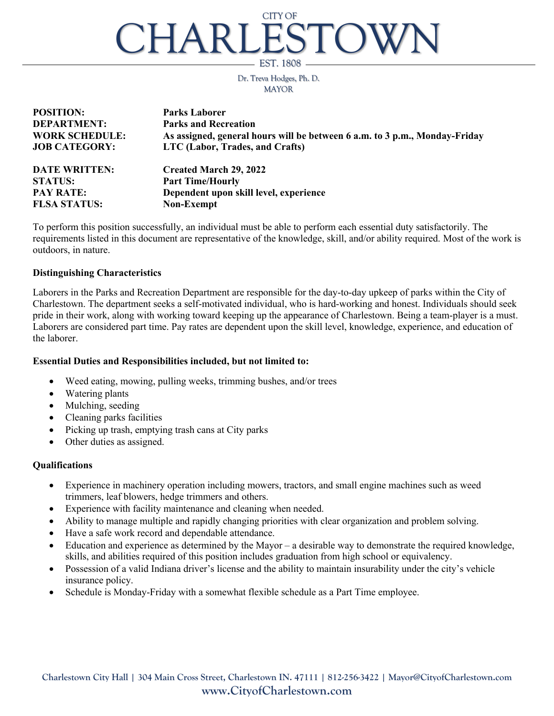# CHARLESTOW EST. 1808 CITY OF

Dr. Treva Hodges, Ph. D. MAYOR

| <b>POSITION:</b>      | <b>Parks Laborer</b>                                                       |
|-----------------------|----------------------------------------------------------------------------|
| <b>DEPARTMENT:</b>    | <b>Parks and Recreation</b>                                                |
| <b>WORK SCHEDULE:</b> | As assigned, general hours will be between 6 a.m. to 3 p.m., Monday-Friday |
| <b>JOB CATEGORY:</b>  | LTC (Labor, Trades, and Crafts)                                            |
| <b>DATE WRITTEN:</b>  | <b>Created March 29, 2022</b>                                              |
| <b>STATUS:</b>        | <b>Part Time/Hourly</b>                                                    |
| <b>PAY RATE:</b>      | Dependent upon skill level, experience                                     |
| <b>FLSA STATUS:</b>   | Non-Exempt                                                                 |

To perform this position successfully, an individual must be able to perform each essential duty satisfactorily. The requirements listed in this document are representative of the knowledge, skill, and/or ability required. Most of the work is outdoors, in nature.

#### **Distinguishing Characteristics**

Laborers in the Parks and Recreation Department are responsible for the day-to-day upkeep of parks within the City of Charlestown. The department seeks a self-motivated individual, who is hard-working and honest. Individuals should seek pride in their work, along with working toward keeping up the appearance of Charlestown. Being a team-player is a must. Laborers are considered part time. Pay rates are dependent upon the skill level, knowledge, experience, and education of the laborer.

#### **Essential Duties and Responsibilities included, but not limited to:**

- Weed eating, mowing, pulling weeks, trimming bushes, and/or trees
- Watering plants
- Mulching, seeding
- Cleaning parks facilities
- Picking up trash, emptying trash cans at City parks
- Other duties as assigned.

### **Qualifications**

- Experience in machinery operation including mowers, tractors, and small engine machines such as weed trimmers, leaf blowers, hedge trimmers and others.
- Experience with facility maintenance and cleaning when needed.
- Ability to manage multiple and rapidly changing priorities with clear organization and problem solving.
- Have a safe work record and dependable attendance.
- Education and experience as determined by the Mayor a desirable way to demonstrate the required knowledge, skills, and abilities required of this position includes graduation from high school or equivalency.
- Possession of a valid Indiana driver's license and the ability to maintain insurability under the city's vehicle insurance policy.
- Schedule is Monday-Friday with a somewhat flexible schedule as a Part Time employee.